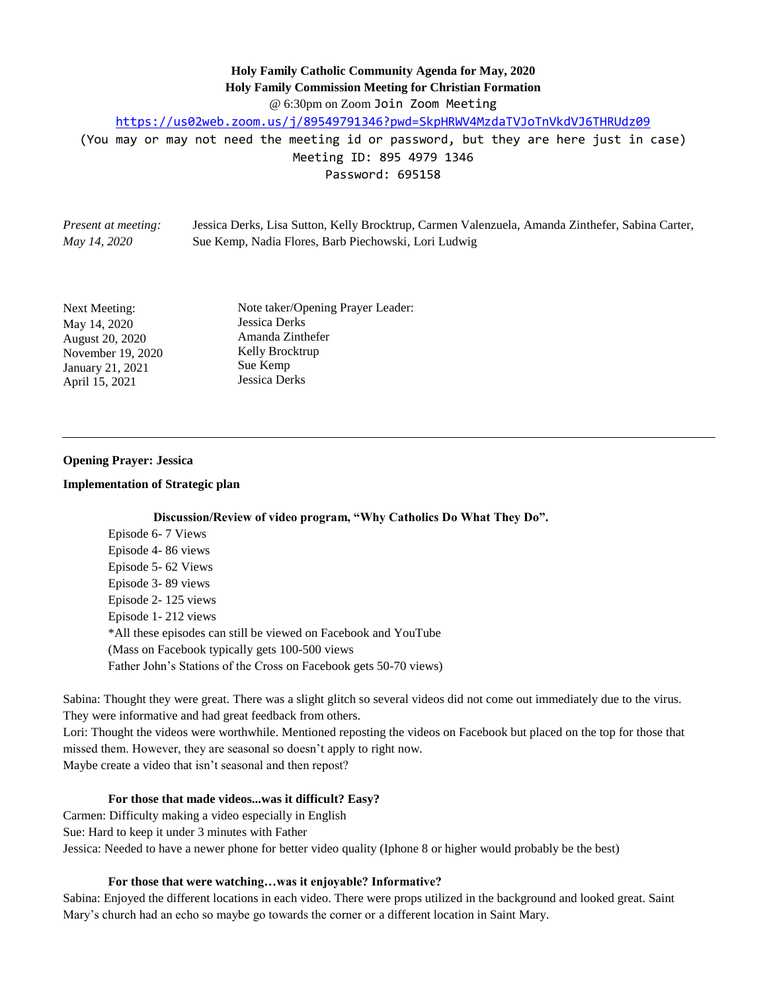### **Holy Family Catholic Community Agenda for May, 2020 Holy Family Commission Meeting for Christian Formation** @ 6:30pm on Zoom Join Zoom Meeting <https://us02web.zoom.us/j/89549791346?pwd=SkpHRWV4MzdaTVJoTnVkdVJ6THRUdz09> (You may or may not need the meeting id or password, but they are here just in case) Meeting ID: 895 4979 1346 Password: 695158

*Present at meeting: May 14, 2020* Jessica Derks, Lisa Sutton, Kelly Brocktrup, Carmen Valenzuela, Amanda Zinthefer, Sabina Carter, Sue Kemp, Nadia Flores, Barb Piechowski, Lori Ludwig

| Next Meeting:     | Note taker/Opening Prayer Leader: |
|-------------------|-----------------------------------|
| May 14, 2020      | Jessica Derks                     |
| August 20, 2020   | Amanda Zinthefer                  |
| November 19, 2020 | Kelly Brocktrup                   |
| January 21, 2021  | Sue Kemp                          |
| April 15, 2021    | Jessica Derks                     |
|                   |                                   |

#### **Opening Prayer: Jessica**

#### **Implementation of Strategic plan**

**Discussion/Review of video program, "Why Catholics Do What They Do".**

Episode 6- 7 Views Episode 4- 86 views Episode 5- 62 Views Episode 3- 89 views Episode 2- 125 views Episode 1- 212 views \*All these episodes can still be viewed on Facebook and YouTube (Mass on Facebook typically gets 100-500 views Father John's Stations of the Cross on Facebook gets 50-70 views)

Sabina: Thought they were great. There was a slight glitch so several videos did not come out immediately due to the virus. They were informative and had great feedback from others.

Lori: Thought the videos were worthwhile. Mentioned reposting the videos on Facebook but placed on the top for those that missed them. However, they are seasonal so doesn't apply to right now. Maybe create a video that isn't seasonal and then repost?

#### **For those that made videos...was it difficult? Easy?**

Carmen: Difficulty making a video especially in English Sue: Hard to keep it under 3 minutes with Father Jessica: Needed to have a newer phone for better video quality (Iphone 8 or higher would probably be the best)

#### **For those that were watching…was it enjoyable? Informative?**

Sabina: Enjoyed the different locations in each video. There were props utilized in the background and looked great. Saint Mary's church had an echo so maybe go towards the corner or a different location in Saint Mary.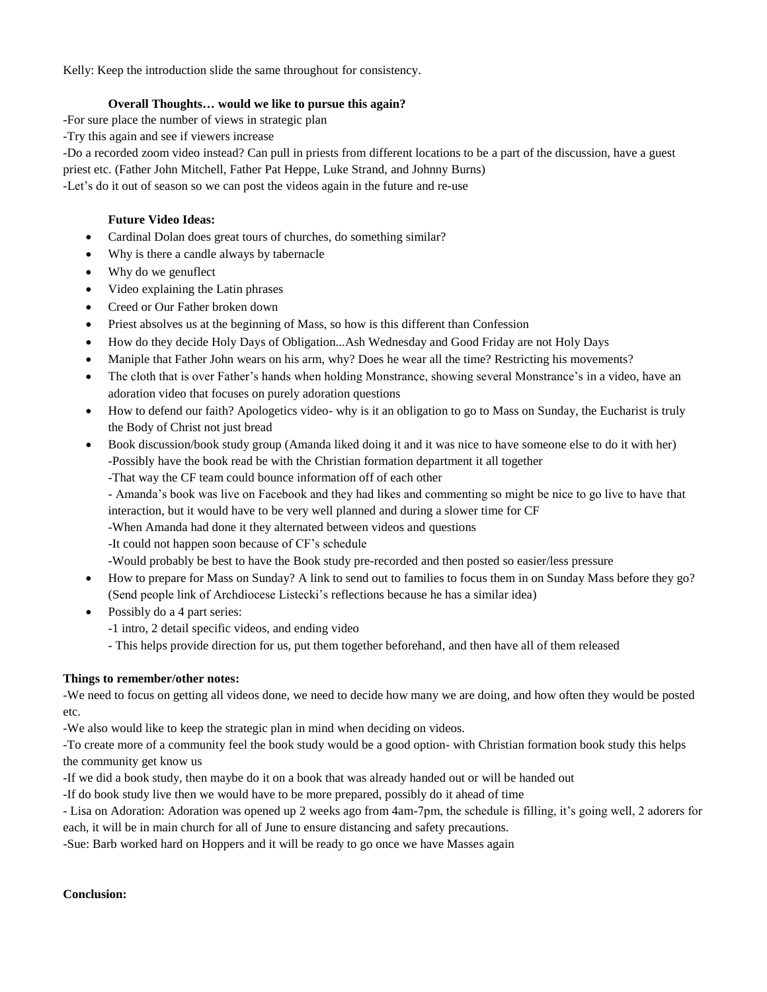Kelly: Keep the introduction slide the same throughout for consistency.

### **Overall Thoughts… would we like to pursue this again?**

-For sure place the number of views in strategic plan

-Try this again and see if viewers increase

-Do a recorded zoom video instead? Can pull in priests from different locations to be a part of the discussion, have a guest priest etc. (Father John Mitchell, Father Pat Heppe, Luke Strand, and Johnny Burns)

-Let's do it out of season so we can post the videos again in the future and re-use

### **Future Video Ideas:**

- Cardinal Dolan does great tours of churches, do something similar?
- Why is there a candle always by tabernacle
- Why do we genuflect
- Video explaining the Latin phrases
- Creed or Our Father broken down
- Priest absolves us at the beginning of Mass, so how is this different than Confession
- How do they decide Holy Days of Obligation...Ash Wednesday and Good Friday are not Holy Days
- Maniple that Father John wears on his arm, why? Does he wear all the time? Restricting his movements?
- The cloth that is over Father's hands when holding Monstrance, showing several Monstrance's in a video, have an adoration video that focuses on purely adoration questions
- How to defend our faith? Apologetics video- why is it an obligation to go to Mass on Sunday, the Eucharist is truly the Body of Christ not just bread
- Book discussion/book study group (Amanda liked doing it and it was nice to have someone else to do it with her) -Possibly have the book read be with the Christian formation department it all together
	- -That way the CF team could bounce information off of each other

- Amanda's book was live on Facebook and they had likes and commenting so might be nice to go live to have that interaction, but it would have to be very well planned and during a slower time for CF

-When Amanda had done it they alternated between videos and questions

-It could not happen soon because of CF's schedule

-Would probably be best to have the Book study pre-recorded and then posted so easier/less pressure

- How to prepare for Mass on Sunday? A link to send out to families to focus them in on Sunday Mass before they go? (Send people link of Archdiocese Listecki's reflections because he has a similar idea)
- Possibly do a 4 part series:
	- -1 intro, 2 detail specific videos, and ending video
	- This helps provide direction for us, put them together beforehand, and then have all of them released

### **Things to remember/other notes:**

-We need to focus on getting all videos done, we need to decide how many we are doing, and how often they would be posted etc.

-We also would like to keep the strategic plan in mind when deciding on videos.

-To create more of a community feel the book study would be a good option- with Christian formation book study this helps the community get know us

-If we did a book study, then maybe do it on a book that was already handed out or will be handed out

-If do book study live then we would have to be more prepared, possibly do it ahead of time

- Lisa on Adoration: Adoration was opened up 2 weeks ago from 4am-7pm, the schedule is filling, it's going well, 2 adorers for each, it will be in main church for all of June to ensure distancing and safety precautions.

-Sue: Barb worked hard on Hoppers and it will be ready to go once we have Masses again

#### **Conclusion:**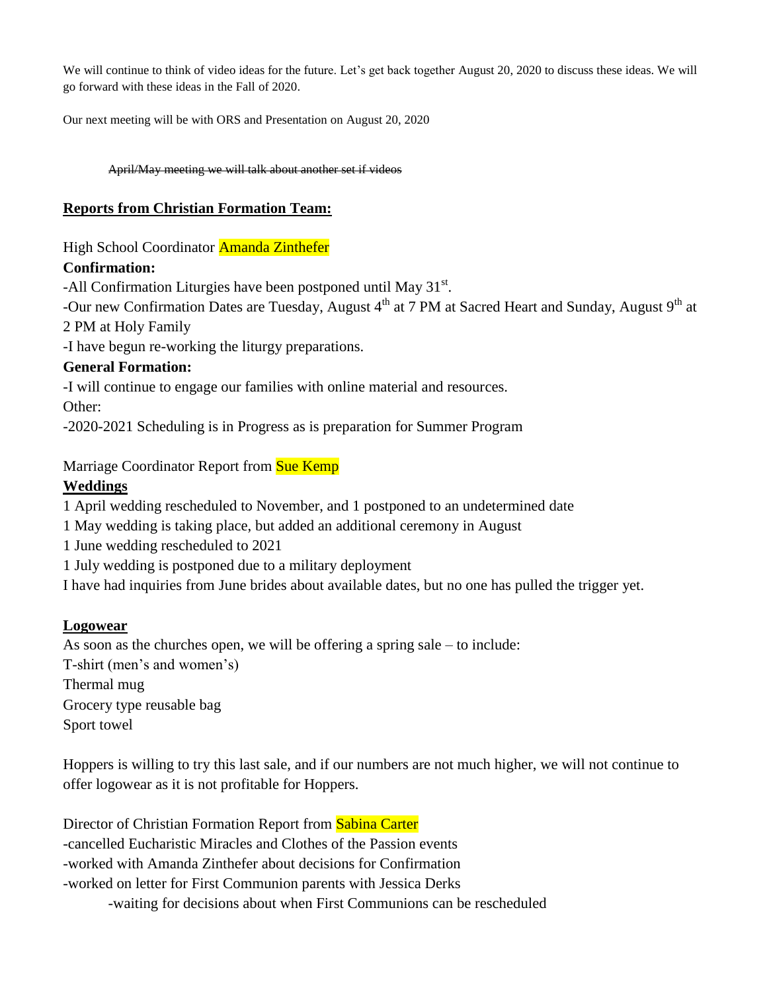We will continue to think of video ideas for the future. Let's get back together August 20, 2020 to discuss these ideas. We will go forward with these ideas in the Fall of 2020.

Our next meeting will be with ORS and Presentation on August 20, 2020

April/May meeting we will talk about another set if videos

## **Reports from Christian Formation Team:**

High School Coordinator **Amanda Zinthefer** 

## **Confirmation:**

-All Confirmation Liturgies have been postponed until May 31<sup>st</sup>.

-Our new Confirmation Dates are Tuesday, August 4<sup>th</sup> at 7 PM at Sacred Heart and Sunday, August 9<sup>th</sup> at 2 PM at Holy Family

-I have begun re-working the liturgy preparations.

## **General Formation:**

-I will continue to engage our families with online material and resources.

Other:

-2020-2021 Scheduling is in Progress as is preparation for Summer Program

# Marriage Coordinator Report from Sue Kemp

# **Weddings**

1 April wedding rescheduled to November, and 1 postponed to an undetermined date

1 May wedding is taking place, but added an additional ceremony in August

1 June wedding rescheduled to 2021

1 July wedding is postponed due to a military deployment

I have had inquiries from June brides about available dates, but no one has pulled the trigger yet.

## **Logowear**

As soon as the churches open, we will be offering a spring sale – to include:

T-shirt (men's and women's)

Thermal mug

Grocery type reusable bag

Sport towel

Hoppers is willing to try this last sale, and if our numbers are not much higher, we will not continue to offer logowear as it is not profitable for Hoppers.

Director of Christian Formation Report from Sabina Carter

-cancelled Eucharistic Miracles and Clothes of the Passion events

-worked with Amanda Zinthefer about decisions for Confirmation

-worked on letter for First Communion parents with Jessica Derks

-waiting for decisions about when First Communions can be rescheduled